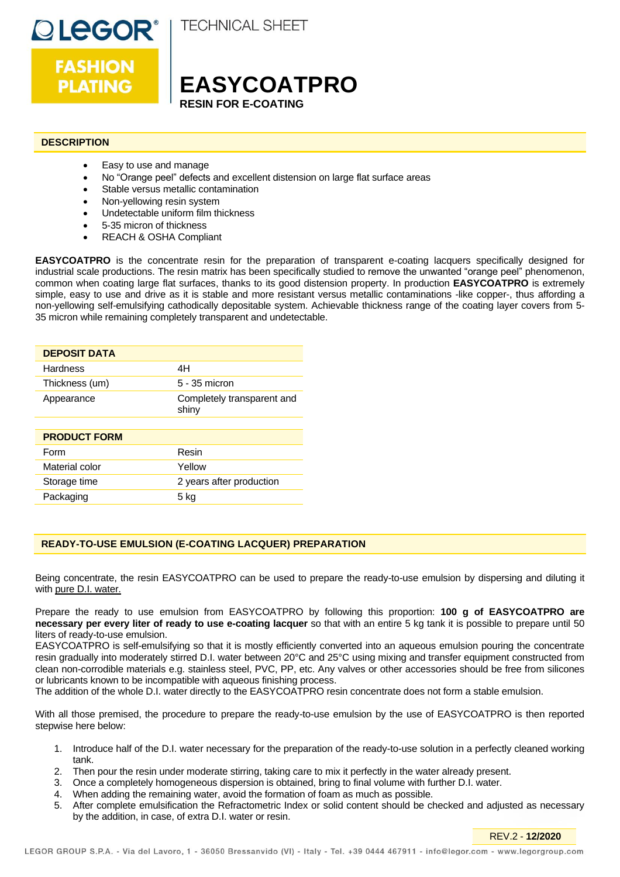

**FASHION** 

**PLATING** 

**TECHNICAL SHEET** 

# **EASYCOATPRO RESIN FOR E-COATING**

## **DESCRIPTION**

- Easy to use and manage
- No "Orange peel" defects and excellent distension on large flat surface areas
- Stable versus metallic contamination
- Non-yellowing resin system
- Undetectable uniform film thickness
- 5-35 micron of thickness
- REACH & OSHA Compliant

**EASYCOATPRO** is the concentrate resin for the preparation of transparent e-coating lacquers specifically designed for industrial scale productions. The resin matrix has been specifically studied to remove the unwanted "orange peel" phenomenon, common when coating large flat surfaces, thanks to its good distension property. In production **EASYCOATPRO** is extremely simple, easy to use and drive as it is stable and more resistant versus metallic contaminations -like copper-, thus affording a non-yellowing self-emulsifying cathodically depositable system. Achievable thickness range of the coating layer covers from 5- 35 micron while remaining completely transparent and undetectable.

| <b>DEPOSIT DATA</b> |                                     |
|---------------------|-------------------------------------|
| Hardness            | 4H                                  |
| Thickness (um)      | 5 - 35 micron                       |
| Appearance          | Completely transparent and<br>shiny |
|                     |                                     |
| <b>PRODUCT FORM</b> |                                     |
| Form                | Resin                               |
| Material color      | Yellow                              |
| Storage time        | 2 years after production            |
| Packaging           | 5 ka                                |

## **READY-TO-USE EMULSION (E-COATING LACQUER) PREPARATION**

Being concentrate, the resin EASYCOATPRO can be used to prepare the ready-to-use emulsion by dispersing and diluting it with pure D.I. water.

Prepare the ready to use emulsion from EASYCOATPRO by following this proportion: **100 g of EASYCOATPRO are necessary per every liter of ready to use e-coating lacquer** so that with an entire 5 kg tank it is possible to prepare until 50 liters of ready-to-use emulsion.

EASYCOATPRO is self-emulsifying so that it is mostly efficiently converted into an aqueous emulsion pouring the concentrate resin gradually into moderately stirred D.I. water between 20°C and 25°C using mixing and transfer equipment constructed from clean non-corrodible materials e.g. stainless steel, PVC, PP, etc. Any valves or other accessories should be free from silicones or lubricants known to be incompatible with aqueous finishing process.

The addition of the whole D.I. water directly to the EASYCOATPRO resin concentrate does not form a stable emulsion.

With all those premised, the procedure to prepare the ready-to-use emulsion by the use of EASYCOATPRO is then reported stepwise here below:

- 1. Introduce half of the D.I. water necessary for the preparation of the ready-to-use solution in a perfectly cleaned working tank.
- 2. Then pour the resin under moderate stirring, taking care to mix it perfectly in the water already present.
- 3. Once a completely homogeneous dispersion is obtained, bring to final volume with further D.I. water.
- 4. When adding the remaining water, avoid the formation of foam as much as possible.
- 5. After complete emulsification the Refractometric Index or solid content should be checked and adjusted as necessary by the addition, in case, of extra D.I. water or resin.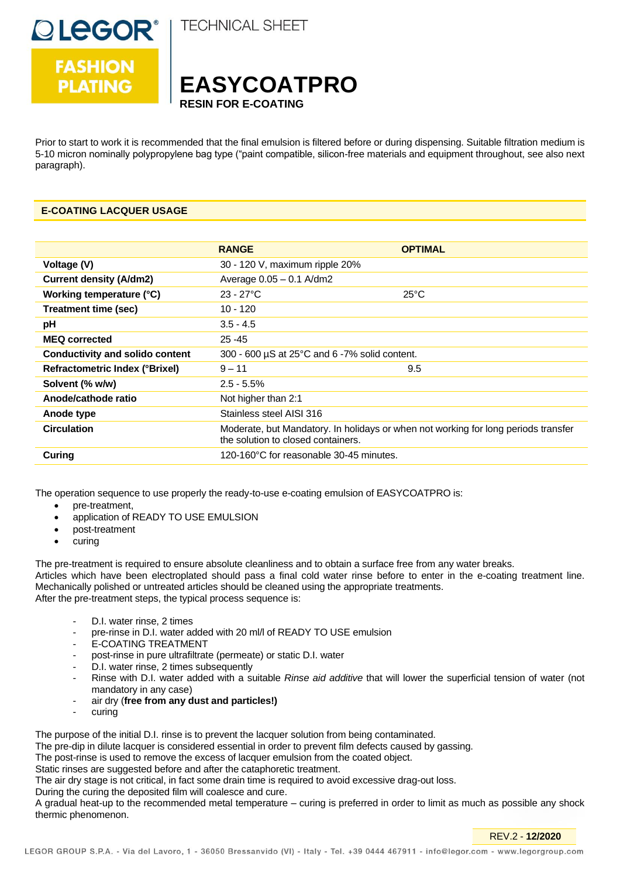

**TECHNICAL SHEET** 



Prior to start to work it is recommended that the final emulsion is filtered before or during dispensing. Suitable filtration medium is 5-10 micron nominally polypropylene bag type ("paint compatible, silicon-free materials and equipment throughout, see also next paragraph).

## **E-COATING LACQUER USAGE**

|                                        | <b>RANGE</b>                                       | <b>OPTIMAL</b>                                                                     |
|----------------------------------------|----------------------------------------------------|------------------------------------------------------------------------------------|
| Voltage (V)                            | 30 - 120 V, maximum ripple 20%                     |                                                                                    |
| <b>Current density (A/dm2)</b>         | Average $0.05 - 0.1$ A/dm2                         |                                                                                    |
| Working temperature (°C)               | $23 - 27^{\circ}C$                                 | $25^{\circ}$ C                                                                     |
| Treatment time (sec)                   | $10 - 120$                                         |                                                                                    |
| рH                                     | $3.5 - 4.5$                                        |                                                                                    |
| <b>MEQ corrected</b>                   | $25 - 45$                                          |                                                                                    |
| <b>Conductivity and solido content</b> | 300 - 600 $\mu$ S at 25°C and 6 -7% solid content. |                                                                                    |
| <b>Refractometric Index (°Brixel)</b>  | $9 - 11$                                           | 9.5                                                                                |
| Solvent (% w/w)                        | $2.5 - 5.5\%$                                      |                                                                                    |
| Anode/cathode ratio                    | Not higher than 2:1                                |                                                                                    |
| Anode type                             | Stainless steel AISI 316                           |                                                                                    |
| <b>Circulation</b>                     | the solution to closed containers.                 | Moderate, but Mandatory. In holidays or when not working for long periods transfer |
| Curing                                 | 120-160°C for reasonable 30-45 minutes.            |                                                                                    |

The operation sequence to use properly the ready-to-use e-coating emulsion of EASYCOATPRO is:

- pre-treatment,
- application of READY TO USE EMULSION
- post-treatment
- curing

The pre-treatment is required to ensure absolute cleanliness and to obtain a surface free from any water breaks. Articles which have been electroplated should pass a final cold water rinse before to enter in the e-coating treatment line. Mechanically polished or untreated articles should be cleaned using the appropriate treatments. After the pre-treatment steps, the typical process sequence is:

- D.I. water rinse, 2 times
- pre-rinse in D.I. water added with 20 ml/l of READY TO USE emulsion
- E-COATING TREATMENT
- post-rinse in pure ultrafiltrate (permeate) or static D.I. water
- D.I. water rinse, 2 times subsequently
- Rinse with D.I. water added with a suitable *Rinse aid additive* that will lower the superficial tension of water (not mandatory in any case)
- air dry (**free from any dust and particles!)**
- curing

The purpose of the initial D.I. rinse is to prevent the lacquer solution from being contaminated.

The pre-dip in dilute lacquer is considered essential in order to prevent film defects caused by gassing.

The post-rinse is used to remove the excess of lacquer emulsion from the coated object.

Static rinses are suggested before and after the cataphoretic treatment.

The air dry stage is not critical, in fact some drain time is required to avoid excessive drag-out loss.

During the curing the deposited film will coalesce and cure.

A gradual heat-up to the recommended metal temperature – curing is preferred in order to limit as much as possible any shock thermic phenomenon.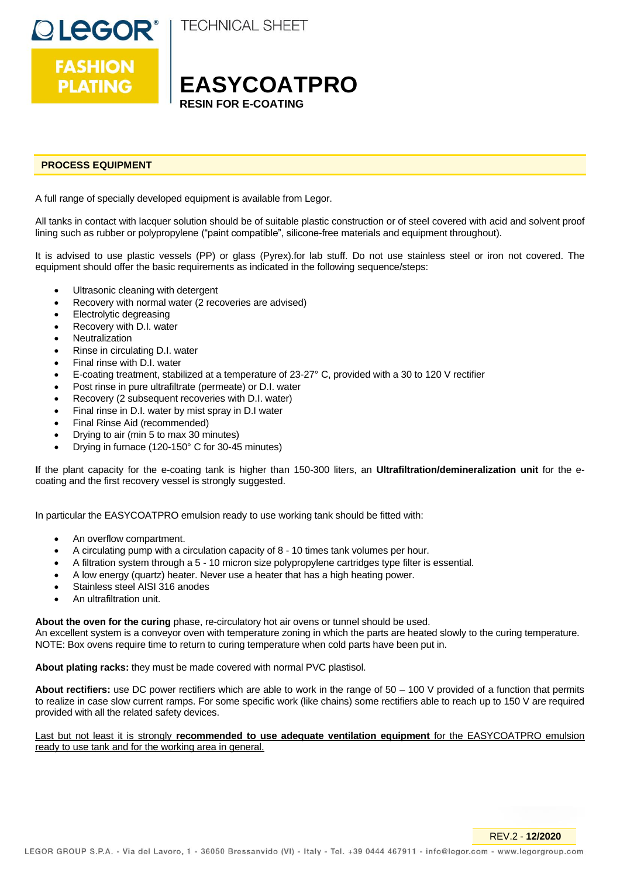



# **EASYCOATPRO RESIN FOR E-COATING**

## **PROCESS EQUIPMENT**

A full range of specially developed equipment is available from Legor.

All tanks in contact with lacquer solution should be of suitable plastic construction or of steel covered with acid and solvent proof lining such as rubber or polypropylene ("paint compatible", silicone-free materials and equipment throughout).

It is advised to use plastic vessels (PP) or glass (Pyrex).for lab stuff. Do not use stainless steel or iron not covered. The equipment should offer the basic requirements as indicated in the following sequence/steps:

- Ultrasonic cleaning with detergent
- Recovery with normal water (2 recoveries are advised)
- Electrolytic degreasing
- Recovery with D.I. water
- **Neutralization**
- Rinse in circulating D.I. water
- Final rinse with D.I. water
- E-coating treatment, stabilized at a temperature of 23-27° C, provided with a 30 to 120 V rectifier
- Post rinse in pure ultrafiltrate (permeate) or D.I. water
- Recovery (2 subsequent recoveries with D.I. water)
- Final rinse in D.I. water by mist spray in D.I water
- Final Rinse Aid (recommended)
- Drying to air (min 5 to max 30 minutes)
- Drying in furnace (120-150° C for 30-45 minutes)

**I**f the plant capacity for the e-coating tank is higher than 150-300 liters, an **Ultrafiltration/demineralization unit** for the ecoating and the first recovery vessel is strongly suggested.

In particular the EASYCOATPRO emulsion ready to use working tank should be fitted with:

- An overflow compartment.
- A circulating pump with a circulation capacity of 8 10 times tank volumes per hour.
- A filtration system through a 5 10 micron size polypropylene cartridges type filter is essential.
- A low energy (quartz) heater. Never use a heater that has a high heating power.
- Stainless steel AISI 316 anodes
- An ultrafiltration unit.

**About the oven for the curing** phase, re-circulatory hot air ovens or tunnel should be used.

An excellent system is a conveyor oven with temperature zoning in which the parts are heated slowly to the curing temperature. NOTE: Box ovens require time to return to curing temperature when cold parts have been put in.

#### **About plating racks:** they must be made covered with normal PVC plastisol.

**About rectifiers:** use DC power rectifiers which are able to work in the range of 50 – 100 V provided of a function that permits to realize in case slow current ramps. For some specific work (like chains) some rectifiers able to reach up to 150 V are required provided with all the related safety devices.

## Last but not least it is strongly **recommended to use adequate ventilation equipment** for the EASYCOATPRO emulsion ready to use tank and for the working area in general.

REV.2 - **12/2020**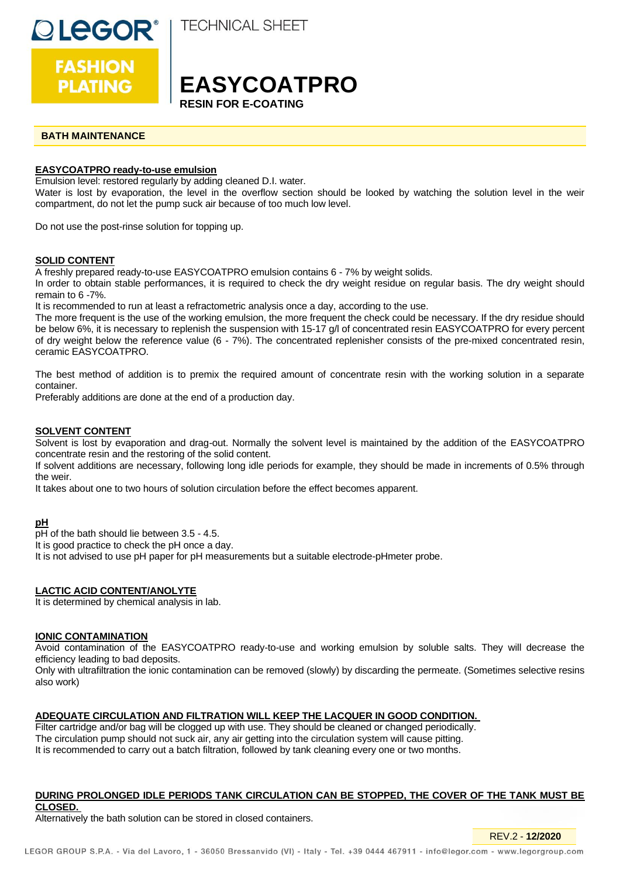

**FASHION PLATING** 

**TECHNICAL SHEET** 

# **EASYCOATPRO RESIN FOR E-COAT**

## **BATH MAINTENANCE**

## **EASYCOATPRO ready-to-use emulsion**

Emulsion level: restored regularly by adding cleaned D.I. water.

Water is lost by evaporation, the level in the overflow section should be looked by watching the solution level in the weir compartment, do not let the pump suck air because of too much low level.

Do not use the post-rinse solution for topping up.

### **SOLID CONTENT**

A freshly prepared ready-to-use EASYCOATPRO emulsion contains 6 - 7% by weight solids.

In order to obtain stable performances, it is required to check the dry weight residue on regular basis. The dry weight should remain to 6 -7%.

It is recommended to run at least a refractometric analysis once a day, according to the use.

The more frequent is the use of the working emulsion, the more frequent the check could be necessary. If the dry residue should be below 6%, it is necessary to replenish the suspension with 15-17 g/l of concentrated resin EASYCOATPRO for every percent of dry weight below the reference value (6 - 7%). The concentrated replenisher consists of the pre-mixed concentrated resin, ceramic EASYCOATPRO.

The best method of addition is to premix the required amount of concentrate resin with the working solution in a separate container.

Preferably additions are done at the end of a production day.

### **SOLVENT CONTENT**

Solvent is lost by evaporation and drag-out. Normally the solvent level is maintained by the addition of the EASYCOATPRO concentrate resin and the restoring of the solid content.

If solvent additions are necessary, following long idle periods for example, they should be made in increments of 0.5% through the weir.

It takes about one to two hours of solution circulation before the effect becomes apparent.

#### **pH**

pH of the bath should lie between 3.5 - 4.5.

It is good practice to check the pH once a day.

It is not advised to use pH paper for pH measurements but a suitable electrode-pHmeter probe.

## **LACTIC ACID CONTENT/ANOLYTE**

It is determined by chemical analysis in lab.

#### **IONIC CONTAMINATION**

Avoid contamination of the EASYCOATPRO ready-to-use and working emulsion by soluble salts. They will decrease the efficiency leading to bad deposits.

Only with ultrafiltration the ionic contamination can be removed (slowly) by discarding the permeate. (Sometimes selective resins also work)

## **ADEQUATE CIRCULATION AND FILTRATION WILL KEEP THE LACQUER IN GOOD CONDITION.**

Filter cartridge and/or bag will be clogged up with use. They should be cleaned or changed periodically. The circulation pump should not suck air, any air getting into the circulation system will cause pitting. It is recommended to carry out a batch filtration, followed by tank cleaning every one or two months.

#### **DURING PROLONGED IDLE PERIODS TANK CIRCULATION CAN BE STOPPED, THE COVER OF THE TANK MUST BE CLOSED.**

REV.2 - **12/2020**

Alternatively the bath solution can be stored in closed containers.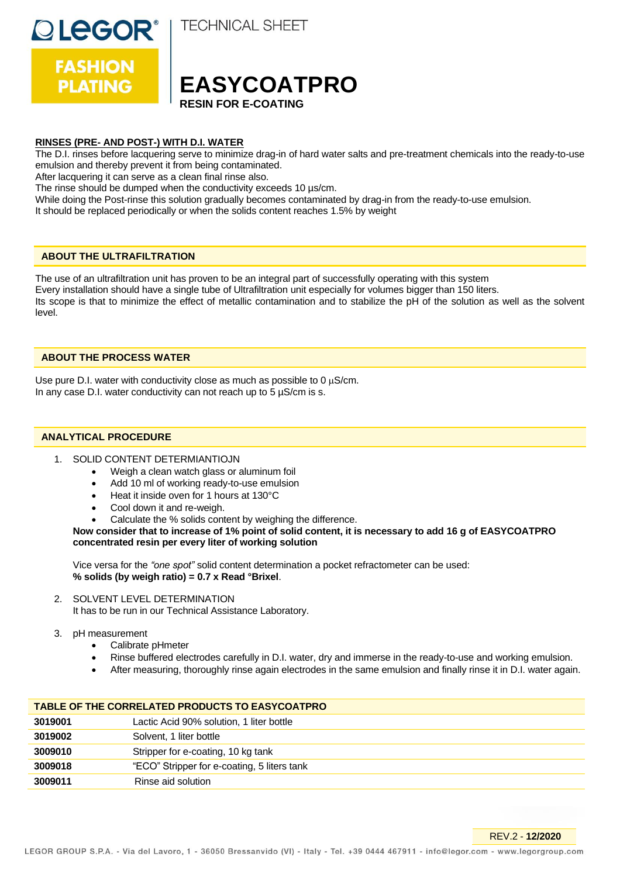**DLEGOR®** 

**FASHION** 

**PLATING** 

**TECHNICAL SHEET** 



## **RINSES (PRE- AND POST-) WITH D.I. WATER**

The D.I. rinses before lacquering serve to minimize drag-in of hard water salts and pre-treatment chemicals into the ready-to-use emulsion and thereby prevent it from being contaminated.

After lacquering it can serve as a clean final rinse also.

The rinse should be dumped when the conductivity exceeds 10 µs/cm.

While doing the Post-rinse this solution gradually becomes contaminated by drag-in from the ready-to-use emulsion. It should be replaced periodically or when the solids content reaches 1.5% by weight

## **ABOUT THE ULTRAFILTRATION**

The use of an ultrafiltration unit has proven to be an integral part of successfully operating with this system Every installation should have a single tube of Ultrafiltration unit especially for volumes bigger than 150 liters. Its scope is that to minimize the effect of metallic contamination and to stabilize the pH of the solution as well as the solvent level.

### **ABOUT THE PROCESS WATER**

Use pure D.I. water with conductivity close as much as possible to 0  $\mu$ S/cm. In any case D.I. water conductivity can not reach up to  $5 \mu S/cm$  is s.

## **ANALYTICAL PROCEDURE**

- 1. SOLID CONTENT DETERMIANTIOJN
	- Weigh a clean watch glass or aluminum foil
	- Add 10 ml of working ready-to-use emulsion
	- Heat it inside oven for 1 hours at 130°C
	- Cool down it and re-weigh.
	- Calculate the % solids content by weighing the difference.

**Now consider that to increase of 1% point of solid content, it is necessary to add 16 g of EASYCOATPRO concentrated resin per every liter of working solution**

Vice versa for the *"one spot"* solid content determination a pocket refractometer can be used: **% solids (by weigh ratio) = 0.7 x Read °Brixel**.

2. SOLVENT LEVEL DETERMINATION

It has to be run in our Technical Assistance Laboratory.

- 3. pH measurement
	- Calibrate pHmeter
	- Rinse buffered electrodes carefully in D.I. water, dry and immerse in the ready-to-use and working emulsion.
	- After measuring, thoroughly rinse again electrodes in the same emulsion and finally rinse it in D.I. water again.

| TABLE OF THE CORRELATED PRODUCTS TO EASYCOATPRO |                                             |  |
|-------------------------------------------------|---------------------------------------------|--|
| 3019001                                         | Lactic Acid 90% solution, 1 liter bottle    |  |
| 3019002                                         | Solvent, 1 liter bottle                     |  |
| 3009010                                         | Stripper for e-coating, 10 kg tank          |  |
| 3009018                                         | "ECO" Stripper for e-coating, 5 liters tank |  |
| 3009011                                         | Rinse aid solution                          |  |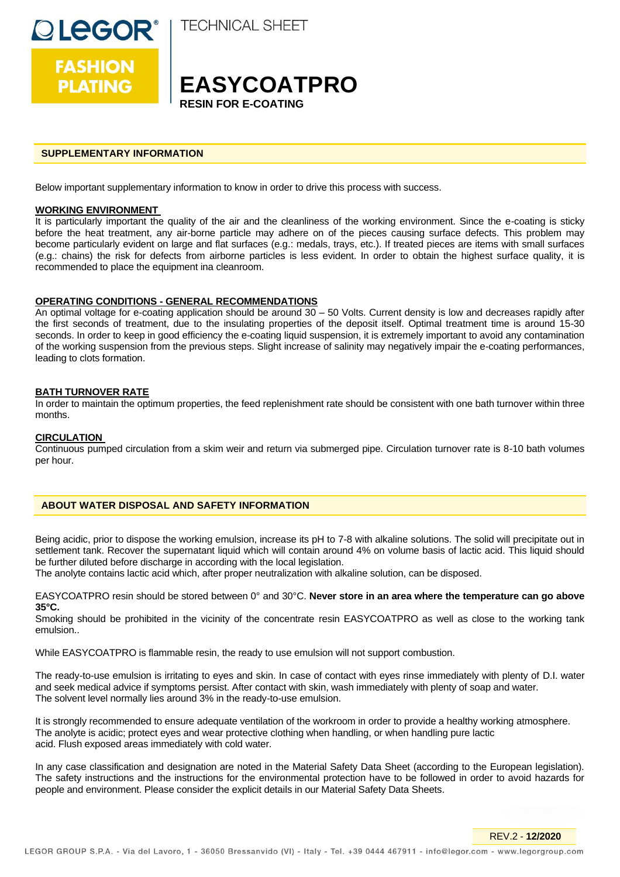

**FASHION PLATING** 

**TECHNICAL SHEET** 

# **EASYCOATPRO RESIN FOR E-COATING**

### **SUPPLEMENTARY INFORMATION**

Below important supplementary information to know in order to drive this process with success.

#### **WORKING ENVIRONMENT**

It is particularly important the quality of the air and the cleanliness of the working environment. Since the e-coating is sticky before the heat treatment, any air-borne particle may adhere on of the pieces causing surface defects. This problem may become particularly evident on large and flat surfaces (e.g.: medals, trays, etc.). If treated pieces are items with small surfaces (e.g.: chains) the risk for defects from airborne particles is less evident. In order to obtain the highest surface quality, it is recommended to place the equipment ina cleanroom.

#### **OPERATING CONDITIONS - GENERAL RECOMMENDATIONS**

An optimal voltage for e-coating application should be around 30 – 50 Volts. Current density is low and decreases rapidly after the first seconds of treatment, due to the insulating properties of the deposit itself. Optimal treatment time is around 15-30 seconds. In order to keep in good efficiency the e-coating liquid suspension, it is extremely important to avoid any contamination of the working suspension from the previous steps. Slight increase of salinity may negatively impair the e-coating performances, leading to clots formation.

### **BATH TURNOVER RATE**

In order to maintain the optimum properties, the feed replenishment rate should be consistent with one bath turnover within three months.

## **CIRCULATION**

Continuous pumped circulation from a skim weir and return via submerged pipe. Circulation turnover rate is 8-10 bath volumes per hour.

### **ABOUT WATER DISPOSAL AND SAFETY INFORMATION**

Being acidic, prior to dispose the working emulsion, increase its pH to 7-8 with alkaline solutions. The solid will precipitate out in settlement tank. Recover the supernatant liquid which will contain around 4% on volume basis of lactic acid. This liquid should be further diluted before discharge in according with the local legislation.

The anolyte contains lactic acid which, after proper neutralization with alkaline solution, can be disposed.

EASYCOATPRO resin should be stored between 0° and 30°C. **Never store in an area where the temperature can go above 35°C.**

Smoking should be prohibited in the vicinity of the concentrate resin EASYCOATPRO as well as close to the working tank emulsion..

While EASYCOATPRO is flammable resin, the ready to use emulsion will not support combustion.

The ready-to-use emulsion is irritating to eyes and skin. In case of contact with eyes rinse immediately with plenty of D.I. water and seek medical advice if symptoms persist. After contact with skin, wash immediately with plenty of soap and water. The solvent level normally lies around 3% in the ready-to-use emulsion.

It is strongly recommended to ensure adequate ventilation of the workroom in order to provide a healthy working atmosphere. The anolyte is acidic; protect eyes and wear protective clothing when handling, or when handling pure lactic acid. Flush exposed areas immediately with cold water.

In any case classification and designation are noted in the Material Safety Data Sheet (according to the European legislation). The safety instructions and the instructions for the environmental protection have to be followed in order to avoid hazards for people and environment. Please consider the explicit details in our Material Safety Data Sheets.

REV.2 - **12/2020**